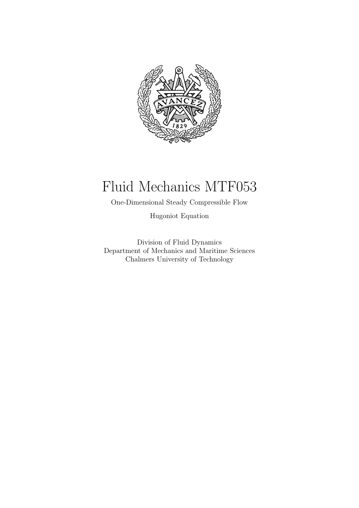

## Fluid Mechanics MTF053

One-Dimensional Steady Compressible Flow

Hugoniot Equation

Division of Fluid Dynamics Department of Mechanics and Maritime Sciences Chalmers University of Technology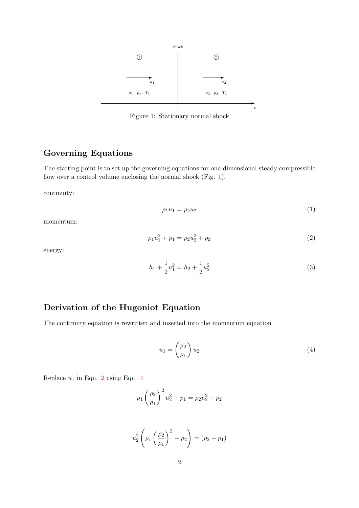<span id="page-1-0"></span>

Figure 1: Stationary normal shock

## Governing Equations

The starting point is to set up the governing equations for one-dimensional steady compressible flow over a control volume enclosing the normal shock (Fig. [1\)](#page-1-0).

continuity:

$$
\rho_1 u_1 = \rho_2 u_2 \tag{1}
$$

<span id="page-1-1"></span>momentum:

$$
\rho_1 u_1^2 + p_1 = \rho_2 u_2^2 + p_2 \tag{2}
$$

<span id="page-1-3"></span>energy:

$$
h_1 + \frac{1}{2}u_1^2 = h_2 + \frac{1}{2}u_2^2
$$
\n(3)

## Derivation of the Hugoniot Equation

<span id="page-1-2"></span>The continuity equation is rewritten and inserted into the momentum equation

$$
u_1 = \left(\frac{\rho_2}{\rho_1}\right) u_2 \tag{4}
$$

Replace  $u_1$  in Eqn. [2](#page-1-1) using Eqn. [4](#page-1-2)

$$
\rho_1 \left(\frac{\rho_2}{\rho_1}\right)^2 u_2^2 + p_1 = \rho_2 u_2^2 + p_2
$$

$$
u_2^2 \left( \rho_1 \left( \frac{\rho_2}{\rho_1} \right)^2 - \rho_2 \right) = (p_2 - p_1)
$$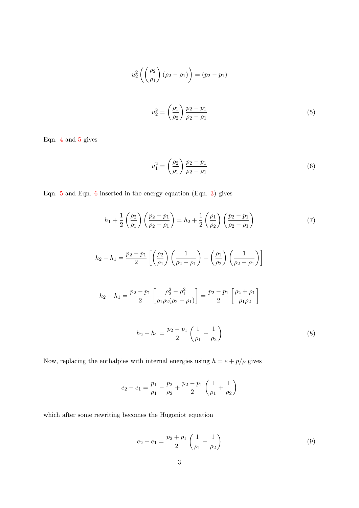$$
u_2^2 \left( \left( \frac{\rho_2}{\rho_1} \right) (\rho_2 - \rho_1) \right) = (p_2 - p_1)
$$
  

$$
u_2^2 = \left( \frac{\rho_1}{\rho_2} \right) \frac{p_2 - p_1}{\rho_2 - \rho_1}
$$
 (5)

<span id="page-2-1"></span><span id="page-2-0"></span>Eqn. [4](#page-1-2) and [5](#page-2-0) gives

$$
u_1^2 = \left(\frac{\rho_2}{\rho_1}\right) \frac{p_2 - p_1}{\rho_2 - \rho_1} \tag{6}
$$

Eqn. [5](#page-2-0) and Eqn. [6](#page-2-1) inserted in the energy equation (Eqn. [3\)](#page-1-3) gives

$$
h_1 + \frac{1}{2} \left(\frac{\rho_2}{\rho_1}\right) \left(\frac{p_2 - p_1}{\rho_2 - \rho_1}\right) = h_2 + \frac{1}{2} \left(\frac{\rho_1}{\rho_2}\right) \left(\frac{p_2 - p_1}{\rho_2 - \rho_1}\right)
$$
(7)  

$$
h_2 - h_1 = \frac{p_2 - p_1}{2} \left[ \left(\frac{\rho_2}{\rho_1}\right) \left(\frac{1}{\rho_2 - \rho_1}\right) - \left(\frac{\rho_1}{\rho_2}\right) \left(\frac{1}{\rho_2 - \rho_1}\right) \right]
$$

$$
h_2 - h_1 = \frac{p_2 - p_1}{2} \left[ \frac{\rho_2^2 - \rho_1^2}{\rho_1 \rho_2 (\rho_2 - \rho_1)} \right] = \frac{p_2 - p_1}{2} \left[ \frac{\rho_2 + \rho_1}{\rho_1 \rho_2} \right]
$$

$$
h_2 - h_1 = \frac{p_2 - p_1}{2} \left(\frac{1}{\rho_1} + \frac{1}{\rho_2}\right)
$$
(8)

Now, replacing the enthalpies with internal energies using  $h = e + p/\rho$  gives

$$
e_2 - e_1 = \frac{p_1}{\rho_1} - \frac{p_2}{\rho_2} + \frac{p_2 - p_1}{2} \left( \frac{1}{\rho_1} + \frac{1}{\rho_2} \right)
$$

which after some rewriting becomes the Hugoniot equation

$$
e_2 - e_1 = \frac{p_2 + p_1}{2} \left( \frac{1}{\rho_1} - \frac{1}{\rho_2} \right) \tag{9}
$$